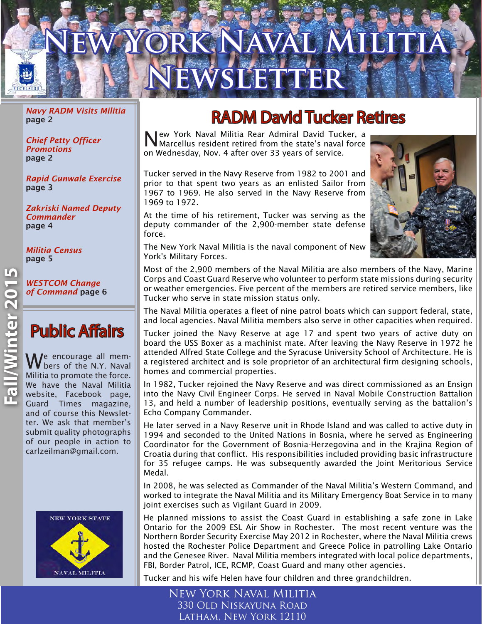# **RIC NAVAL Newsletter**

*Navy RADM Visits Militia* page 2

*Chief Petty Officer Promotions*  page 2

*Rapid Gunwale Exercise* page 3

*Zakriski Named Deputy Commander*  page 4

*Militia Census* page 5

*WESTCOM Change of Command* page 6

### Public Affairs

We encourage all members of the N.Y. Naval Militia to promote the force. We have the Naval Militia website, Facebook page, Guard Times magazine, and of course this Newsletter. We ask that member's submit quality photographs of our people in action to carlzeilman@gmail.com.



## RADM David Tucker Retires

New York Naval Militia Rear Admiral David Tucker, a Marcellus resident retired from the state's naval force on Wednesday, Nov. 4 after over 33 years of service.

Tucker served in the Navy Reserve from 1982 to 2001 and prior to that spent two years as an enlisted Sailor from 1967 to 1969. He also served in the Navy Reserve from 1969 to 1972.

At the time of his retirement, Tucker was serving as the deputy commander of the 2,900-member state defense force.



The New York Naval Militia is the naval component of New York's Military Forces.

Most of the 2,900 members of the Naval Militia are also members of the Navy, Marine Corps and Coast Guard Reserve who volunteer to perform state missions during security or weather emergencies. Five percent of the members are retired service members, like Tucker who serve in state mission status only.

The Naval Militia operates a fleet of nine patrol boats which can support federal, state, and local agencies. Naval Militia members also serve in other capacities when required.

Tucker joined the Navy Reserve at age 17 and spent two years of active duty on board the USS Boxer as a machinist mate. After leaving the Navy Reserve in 1972 he attended Alfred State College and the Syracuse University School of Architecture. He is a registered architect and is sole proprietor of an architectural firm designing schools, homes and commercial properties.

In 1982, Tucker rejoined the Navy Reserve and was direct commissioned as an Ensign into the Navy Civil Engineer Corps. He served in Naval Mobile Construction Battalion 13, and held a number of leadership positions, eventually serving as the battalion's Echo Company Commander.

He later served in a Navy Reserve unit in Rhode Island and was called to active duty in 1994 and seconded to the United Nations in Bosnia, where he served as Engineering Coordinator for the Government of Bosnia-Herzegovina and in the Krajina Region of Croatia during that conflict. His responsibilities included providing basic infrastructure for 35 refugee camps. He was subsequently awarded the Joint Meritorious Service Medal.

In 2008, he was selected as Commander of the Naval Militia's Western Command, and worked to integrate the Naval Militia and its Military Emergency Boat Service in to many joint exercises such as Vigilant Guard in 2009.

He planned missions to assist the Coast Guard in establishing a safe zone in Lake Ontario for the 2009 ESL Air Show in Rochester. The most recent venture was the Northern Border Security Exercise May 2012 in Rochester, where the Naval Militia crews hosted the Rochester Police Department and Greece Police in patrolling Lake Ontario and the Genesee River. Naval Militia members integrated with local police departments, FBI, Border Patrol, ICE, RCMP, Coast Guard and many other agencies.

Tucker and his wife Helen have four children and three grandchildren.

New York Naval Militia 330 Old Niskayuna Road Latham, New York 12110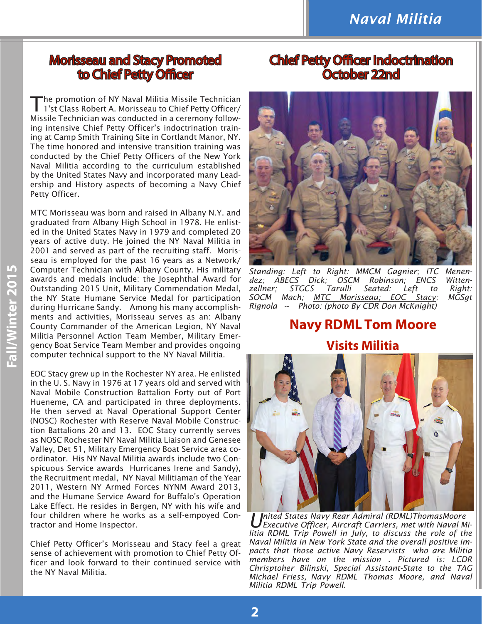#### Morisseau and Stacy Promoted to Chief Petty Officer

'he promotion of NY Naval Militia Missile Technician 1'st Class Robert A. Morisseau to Chief Petty Officer/ Missile Technician was conducted in a ceremony following intensive Chief Petty Officer's indoctrination training at Camp Smith Training Site in Cortlandt Manor, NY. The time honored and intensive transition training was conducted by the Chief Petty Officers of the New York Naval Militia according to the curriculum established by the United States Navy and incorporated many Leadership and History aspects of becoming a Navy Chief Petty Officer.

MTC Morisseau was born and raised in Albany N.Y. and graduated from Albany High School in 1978. He enlisted in the United States Navy in 1979 and completed 20 years of active duty. He joined the NY Naval Militia in 2001 and served as part of the recruiting staff. Morisseau is employed for the past 16 years as a Network/ Computer Technician with Albany County. His military awards and medals include: the Josephthal Award for Outstanding 2015 Unit, Military Commendation Medal, the NY State Humane Service Medal for participation during Hurricane Sandy. Among his many accomplishments and activities, Morisseau serves as an: Albany County Commander of the American Legion, NY Naval Militia Personnel Action Team Member, Military Emergency Boat Service Team Member and provides ongoing computer technical support to the NY Naval Militia.

EOC Stacy grew up in the Rochester NY area. He enlisted in the U. S. Navy in 1976 at 17 years old and served with Naval Mobile Construction Battalion Forty out of Port Hueneme, CA and participated in three deployments. He then served at Naval Operational Support Center (NOSC) Rochester with Reserve Naval Mobile Construction Battalions 20 and 13. EOC Stacy currently serves as NOSC Rochester NY Naval Militia Liaison and Genesee Valley, Det 51, Military Emergency Boat Service area coordinator. His NY Naval Militia awards include two Conspicuous Service awards Hurricanes Irene and Sandy), the Recruitment medal, NY Naval Militiaman of the Year 2011, Western NY Armed Forces NYNM Award 2013, and the Humane Service Award for Buffalo's Operation Lake Effect. He resides in Bergen, NY with his wife and four children where he works as a self-empoyed Contractor and Home Inspector.

Chief Petty Officer's Morisseau and Stacy feel a great sense of achievement with promotion to Chief Petty Officer and look forward to their continued service with the NY Naval Militia.

#### Chief Petty Officer Indoctrination October 22nd



*Standing: Left to Right: MMCM Gagnier; ITC Menendez; ABECS Dick; OSCM Robinson; ENCS Wittenzellner; STGCS Tarulli Seated: Left to Right: SOCM Mach; MTC Morisseau; EOC Stacy; MGSgt Rignola -- Photo: (photo By CDR Don McKnight)*

#### **Navy RDML Tom Moore Visits Militia**



*U nited States Navy Rear Admiral (RDML)ThomasMoore Executive Officer, Aircraft Carriers, met with Naval Militia RDML Trip Powell in July, to discuss the role of the Naval Militia in New York State and the overall positive impacts that those active Navy Reservists who are Militia members have on the mission . Pictured is: LCDR Chrisptoher Bilinski, Special Assistant-State to the TAG Michael Friess, Navy RDML Thomas Moore, and Naval Militia RDML Trip Powell.*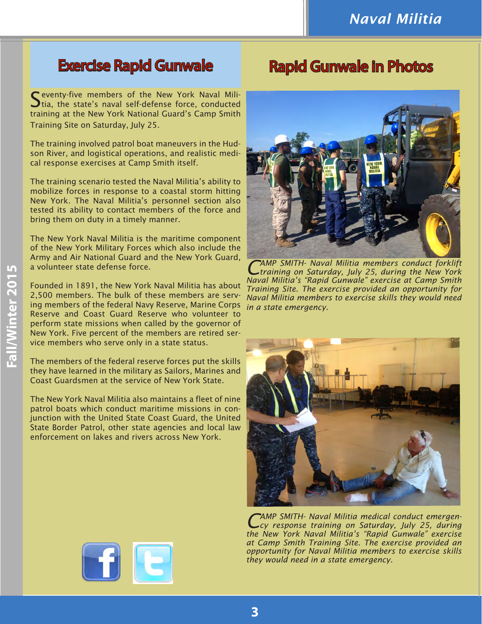#### Exercise Rapid Gunwale

#### Rapid Gunwale in Photos

Seventy-five members of the New York Naval Militia, the state's naval self-defense force, conducted training at the New York National Guard's Camp Smith Training Site on Saturday, July 25.

The training involved patrol boat maneuvers in the Hudson River, and logistical operations, and realistic medical response exercises at Camp Smith itself.

The training scenario tested the Naval Militia's ability to mobilize forces in response to a coastal storm hitting New York. The Naval Militia's personnel section also tested its ability to contact members of the force and bring them on duty in a timely manner.

The New York Naval Militia is the maritime component of the New York Military Forces which also include the Army and Air National Guard and the New York Guard, a volunteer state defense force.

Founded in 1891, the New York Naval Militia has about 2,500 members. The bulk of these members are serving members of the federal Navy Reserve, Marine Corps Reserve and Coast Guard Reserve who volunteer to perform state missions when called by the governor of New York. Five percent of the members are retired service members who serve only in a state status.

The members of the federal reserve forces put the skills they have learned in the military as Sailors, Marines and Coast Guardsmen at the service of New York State.

The New York Naval Militia also maintains a fleet of nine patrol boats which conduct maritime missions in conjunction with the United State Coast Guard, the United State Border Patrol, other state agencies and local law enforcement on lakes and rivers across New York.



*CAMP SMITH- Naval Militia members conduct forklift training on Saturday, July 25, during the New York Naval Militia's "Rapid Gunwale" exercise at Camp Smith Training Site. The exercise provided an opportunity for Naval Militia members to exercise skills they would need in a state emergency.*



*CAMP SMITH- Naval Militia medical conduct emergen-cy response training on Saturday, July 25, during the New York Naval Militia's "Rapid Gunwale" exercise at Camp Smith Training Site. The exercise provided an opportunity for Naval Militia members to exercise skills they would need in a state emergency.*



**Fall/Winter 2015**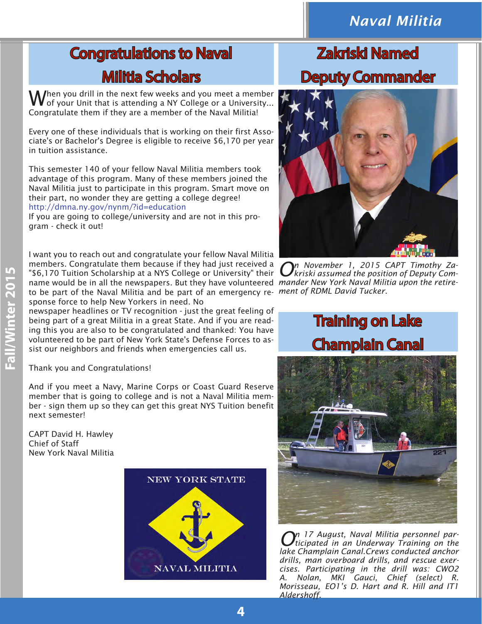#### *Naval Militia*

## Congratulations to Naval Militia Scholars

When you drill in the next few weeks and you meet a member of your Unit that is attending a NY College or a University... Congratulate them if they are a member of the Naval Militia!

Every one of these individuals that is working on their first Associate's or Bachelor's Degree is eligible to receive \$6,170 per year in tuition assistance.

This semester 140 of your fellow Naval Militia members took advantage of this program. Many of these members joined the Naval Militia just to participate in this program. Smart move on their part, no wonder they are getting a college degree! http://dmna.ny.gov/nynm/?id=education

If you are going to college/university and are not in this program - check it out!

name would be in all the newspapers. But they have volunteered mander New York Naval Militia upon the retire*ment of RDML David Tucker.* to be part of the Naval Militia and be part of an emergency re-I want you to reach out and congratulate your fellow Naval Militia members. Congratulate them because if they had just received a "\$6,170 Tuition Scholarship at a NYS College or University" their sponse force to help New Yorkers in need. No

newspaper headlines or TV recognition - just the great feeling of being part of a great Militia in a great State. And if you are reading this you are also to be congratulated and thanked: You have volunteered to be part of New York State's Defense Forces to assist our neighbors and friends when emergencies call us.

Thank you and Congratulations!

And if you meet a Navy, Marine Corps or Coast Guard Reserve member that is going to college and is not a Naval Militia member - sign them up so they can get this great NYS Tuition benefit next semester!

CAPT David H. Hawley Chief of Staff New York Naval Militia



## Zakriski Named Deputy Commander



*On November 1, 2015 CAPT Timothy Za-kriski assumed the position of Deputy Com-*

## Training on Lake Champlain Canal



*On 17 August, Naval Militia personnel par-ticipated in an Underway Training on the lake Champlain Canal.Crews conducted anchor drills, man overboard drills, and rescue exercises. Participating in the drill was: CWO2 A. Nolan, MKI Gauci, Chief (select) R. Morisseau, EO1's D. Hart and R. Hill and IT1 Aldershoff.*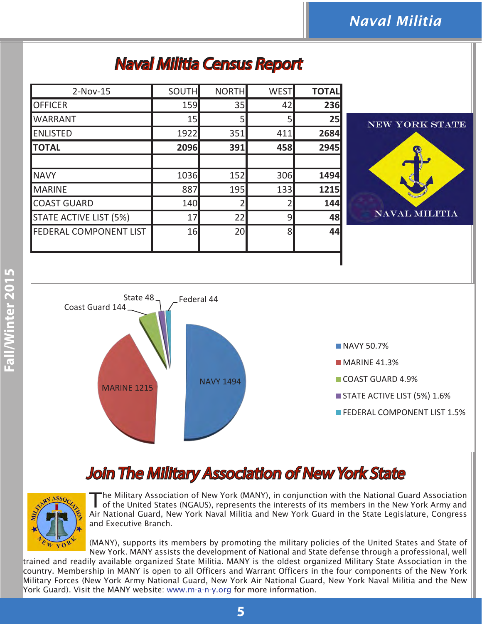## Naval Militia Census Report

| $2-Nov-15$                    | <b>SOUTH</b> | <b>NORTH</b>   | <b>WEST</b> | <b>TOTAL</b> |
|-------------------------------|--------------|----------------|-------------|--------------|
| <b>OFFICER</b>                | <b>159</b>   | 35             | 42          | 236          |
| <b>WARRANT</b>                | 15           | 5              | 5           | 25           |
| <b>ENLISTED</b>               | 1922         | 351            | 411         | 2684         |
| <b>TOTAL</b>                  | 2096         | 391            | 458         | 2945         |
|                               |              |                |             |              |
| <b>NAVY</b>                   | 1036         | 152            | 306         | 1494         |
| MARINE                        | 887          | 195            | 133         | 1215         |
| <b>COAST GUARD</b>            | 140          | $\overline{2}$ |             | 144          |
| <b>STATE ACTIVE LIST (5%)</b> | 17           | 22             | 9           | 48           |
| <b>FEDERAL COMPONENT LIST</b> | 16           | 20             | 8           | 44           |
|                               |              |                |             |              |





## Join The Military Association of New York State



The Military Association of New York (MANY), in conjunction with the National Guard Association of the United States (NGAUS), represents the interests of its members in the New York Army and Air National Guard, New York Naval Militia and New York Guard in the State Legislature, Congress and Executive Branch.

(MANY), supports its members by promoting the military policies of the United States and State of New York. MANY assists the development of National and State defense through a professional, well

trained and readily available organized State Militia. MANY is the oldest organized Military State Association in the country. Membership in MANY is open to all Officers and Warrant Officers in the four components of the New York Military Forces (New York Army National Guard, New York Air National Guard, New York Naval Militia and the New York Guard). Visit the MANY website: www.m-a-n-y.org for more information.